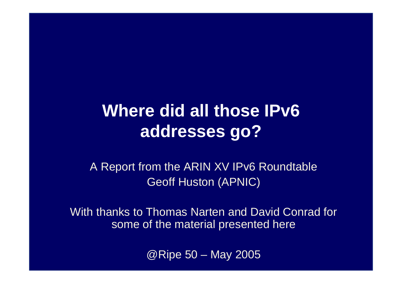### **Where did all those IPv6 addresses go?**

A Report from the ARIN XV IPv6 Roundtable Geoff Huston (APNIC)

With thanks to Thomas Narten and David Conrad for some of the material presented here

@Ripe 50 – May 2005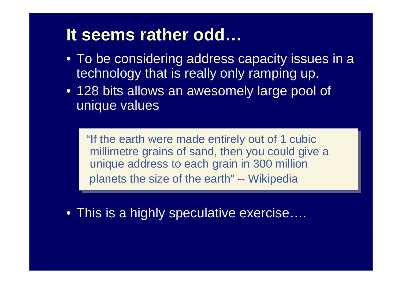### **It seems rather odd…**

- To be considering address capacity issues in a technology that is really only ramping up.
- 128 bits allows an awesomely large pool of unique values

"If the earth were made entirely out of 1 cubic millimetre grains of sand, then you could give a unique address to each grain in 300 million planets the size of the earth" -- Wikipedia

• This is a highly speculative exercise….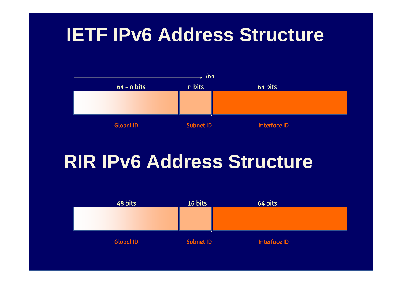# **IETF IPv6 Address Structure**



# **RIR IPv6 Address Structure**

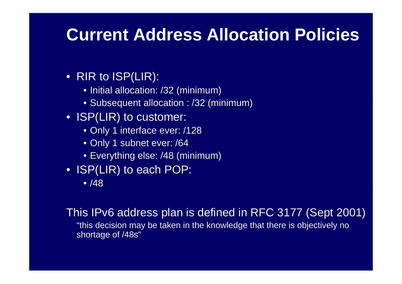### **Current Address Allocation Policies**

### • RIR to ISP(LIR):

- Initial allocation: /32 (minimum)
- Subsequent allocation : /32 (minimum)
- ISP(LIR) to customer:
	- Only 1 interface ever: /128
	- Only 1 subnet ever: /64
	- Everything else: /48 (minimum)
- ISP(LIR) to each POP:
	- /48

This IPv6 address plan is defined in RFC 3177 (Sept 2001) "this decision may be taken in the knowledge that there is objectively no shortage of /48s"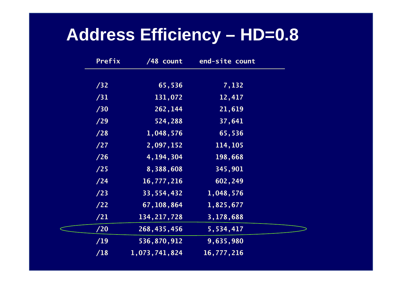### **Address Efficiency – HD=0.8**

| Prefix | $/48$ count   | end-site count |  |
|--------|---------------|----------------|--|
| /32    | 65,536        | 7,132          |  |
| /31    | 131,072       | 12,417         |  |
| /30    | 262, 144      | 21,619         |  |
| /29    | 524,288       | 37,641         |  |
| /28    | 1,048,576     | 65,536         |  |
| /27    | 2,097,152     | 114, 105       |  |
| /26    | 4, 194, 304   | 198,668        |  |
| /25    | 8,388,608     | 345,901        |  |
| /24    | 16,777,216    | 602,249        |  |
| /23    | 33,554,432    | 1,048,576      |  |
| /22    | 67, 108, 864  | 1,825,677      |  |
| /21    | 134, 217, 728 | 3,178,688      |  |
| /20    | 268,435,456   | 5,534,417      |  |
| /19    | 536,870,912   | 9,635,980      |  |
| /18    | 1,073,741,824 | 16,777,216     |  |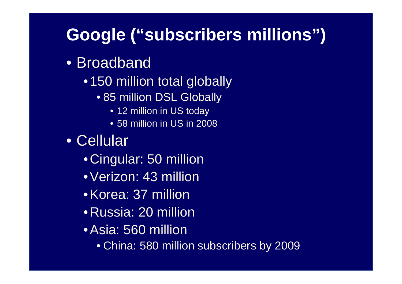## **Google ("subscribers millions")**

- Broadband
	- 150 million total globally
		- 85 million DSL Globally
			- 12 million in US today
			- 58 million in US in 2008
- Cellular
	- Cingular: 50 million
	- •Verizon: 43 million
	- •Korea: 37 million
	- Russia: 20 million
	- •Asia: 560 million
		- China: 580 million subscribers by 2009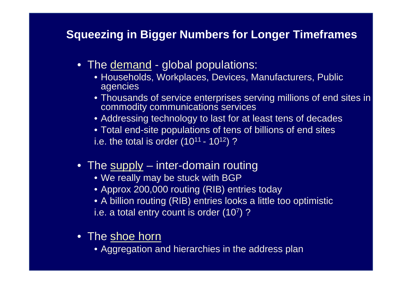#### **Squeezing in Bigger Numbers for Longer Timeframes**

- The <u>demand</u> global populations:
	- Households, Workplaces, Devices, Manufacturers, Public agencies
	- Thousands of service enterprises serving millions of end sites in commodity communications services
	- Addressing technology to last for at least tens of decades
	- Total end-site populations of tens of billions of end sites

i.e. the total is order  $(10^{11} - 10^{12})$ ?

- The supply inter-domain routing
	- We really may be stuck with BGP
	- Approx 200,000 routing (RIB) entries today
	- A billion routing (RIB) entries looks a little too optimistic
	- i.e. a total entry count is order (107)?
- The shoe horn
	- Aggregation and hierarchies in the address plan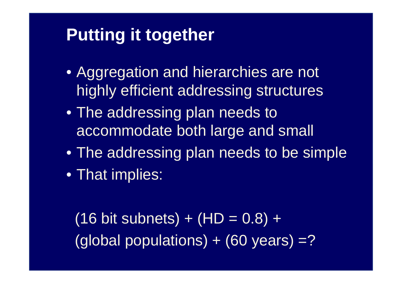### **Putting it together**

- Aggregation and hierarchies are not highly efficient addressing structures
- The addressing plan needs to accommodate both large and small
- The addressing plan needs to be simple
- That implies:

 $(16$  bit subnets) +  $(HD = 0.8)$  + (global populations)  $+$  (60 years) =?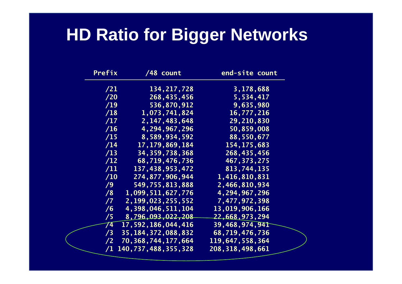## **HD Ratio for Bigger Networks**

| Prefix | /48 count               | end-site count         |
|--------|-------------------------|------------------------|
| /21    | 134, 217, 728           | 3,178,688              |
| /20    | 268, 435, 456           | 5,534,417              |
| /19    | 536,870,912             | 9,635,980              |
| /18    | 1,073,741,824           | 16,777,216             |
| /17    | 2, 147, 483, 648        | 29,210,830             |
| /16    | 4, 294, 967, 296        | 50,859,008             |
| /15    | 8,589,934,592           | 88,550,677             |
| /14    | 17, 179, 869, 184       | 154, 175, 683          |
| /13    | 34, 359, 738, 368       | 268, 435, 456          |
| /12    | 68,719,476,736          | 467, 373, 275          |
| /11    | 137, 438, 953, 472      | 813,744,135            |
| /10    | 274,877,906,944         | 1,416,810,831          |
| /9     | 549,755,813,888         | 2,466,810,934          |
| /8     | 1,099,511,627,776       | 4, 294, 967, 296       |
| /7     | 2,199,023,255,552       | 7,477,972,398          |
| /6     | 4, 398, 046, 511, 104   | 13,019,906,166         |
| /5     | 8,796,093,022,208       | <u>22,668,</u> 973,294 |
| 74     | 17,592,186,044,416      | 39,468,974,941         |
| /3     | 35, 184, 372, 088, 832  | 68,719,476,736         |
| /2     | 70,368,744,177,664      | 119,647,558,364        |
| /1     | 140, 737, 488, 355, 328 | 208, 318, 498, 661     |
|        |                         |                        |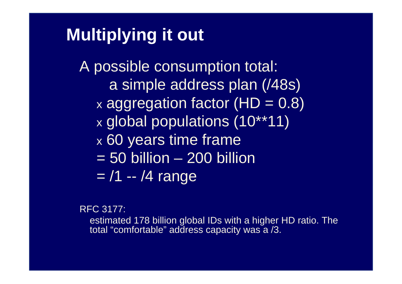### **Multiplying it out**

A possible consumption total: a simple address plan (/48s)  $\times$  aggregation factor (HD = 0.8) x global populations (10\*\*11) x 60 years time frame  $= 50$  billion  $- 200$  billion =/1 -- /4 range

RFC 3177:

estimated 178 billion global IDs with a higher HD ratio. The total "comfortable" address capacity was a /3.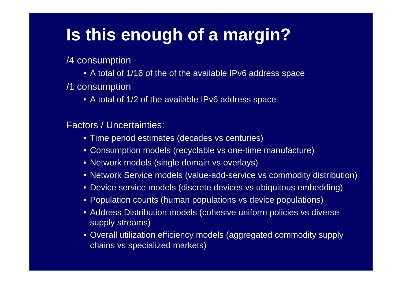# **Is this enough of a margin?**

/4 consumption

- A total of 1/16 of the of the available IPv6 address space
- /1 consumption
	- A total of 1/2 of the available IPv6 address space

Factors / Uncertainties:

- Time period estimates (decades vs centuries)
- Consumption models (recyclable vs one-time manufacture)
- Network models (single domain vs overlays)
- Network Service models (value-add-service vs commodity distribution)
- Device service models (discrete devices vs ubiquitous embedding)
- Population counts (human populations vs device populations)
- Address Distribution models (cohesive uniform policies vs diverse supply streams)
- Overall utilization efficiency models (aggregated commodity supply chains vs specialized markets)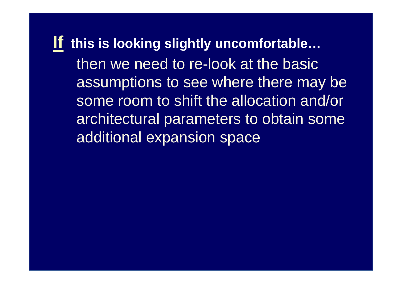**If this is looking slightly uncomfortable…** then we need to re-look at the basic assumptions to see where there may be some room to shift the allocation and/or architectural parameters to obtain some additional expansion space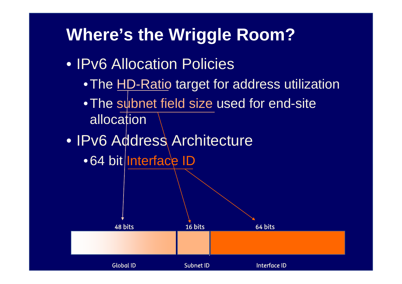### **Where's the Wriggle Room?**

- IPv6 Allocation Policies
	- $\bullet$  The <u>HD-Ratio</u> target for address utilization
	- •The subnet field size used for end-site allocation
- IPv6 Address Architecture
	- •64 bit|Interface ID

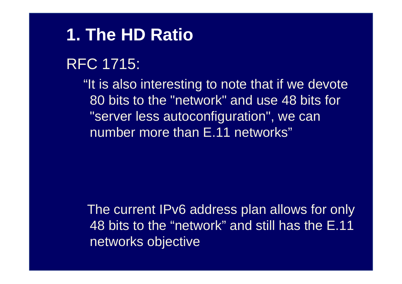### **1. The HD Ratio**

### RFC 1715:

"It is also interesting to note that if we devote 80 bits to the "network" and use 48 bits for "server less autoconfiguration", we can number more than E.11 networks"

The current IPv6 address plan allows for only 48 bits to the "network" and still has the E.11 networks objective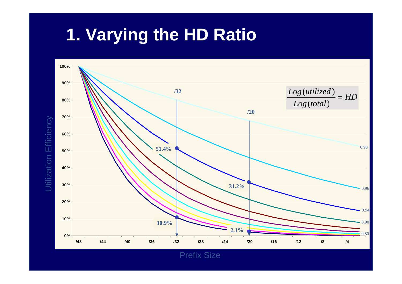# **1. Varying the HD Ratio**



Prefix Size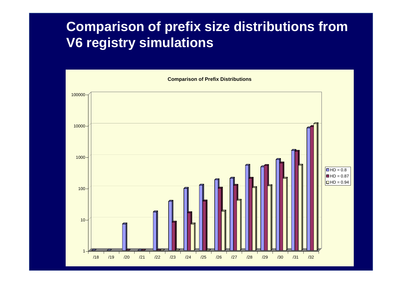### **Comparison of prefix size distributions from V6 registry simulations**

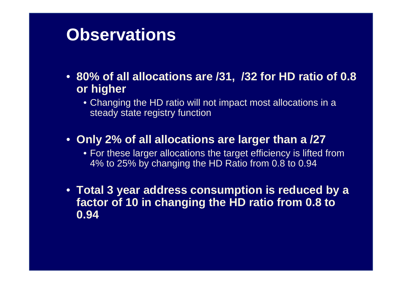### **Observations**

- **80% of all allocations are /31, /32 for HD ratio of 0.8 or higher**
	- Changing the HD ratio will not impact most allocations in a steady state registry function
- **Only 2% of all allocations are larger than a /27**
	- For these larger allocations the target efficiency is lifted from 4% to 25% by changing the HD Ratio from 0.8 to 0.94
- **Total 3 year address consumption is reduced by a factor of 10 in changing the HD ratio from 0.8 to 0.94**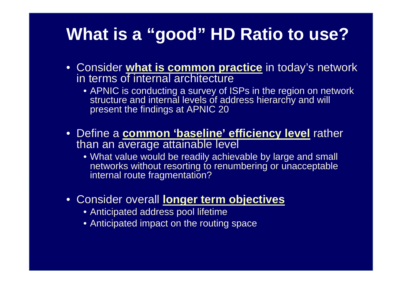### **What is a "good" HD Ratio to use?**

- Consider **what is common practice** in today's network in terms of internal architecture
	- APNIC is conducting a survey of ISPs in the region on network structure and internal levels of address hierarchy and will present the findings at APNIC 20
- Define a **common 'baseline' efficiency level** rather than an average attainable level
	- What value would be readily achievable by large and small networks without resorting to renumbering or unacceptable internal route fragmentation?
- Consider overall **longer term objectives**
	- Anticipated address pool lifetime
	- Anticipated impact on the routing space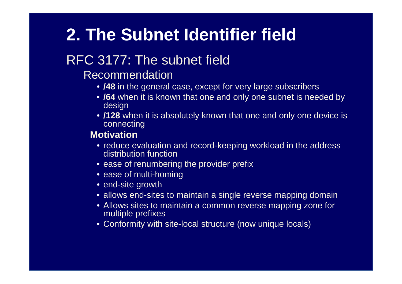# **2. The Subnet Identifier field**

### RFC 3177: The subnet field

- Recommendation
	- **/48** in the general case, except for very large subscribers
	- **/64** when it is known that one and only one subnet is needed by design
	- **/128** when it is absolutely known that one and only one device is connecting

#### **Motivation**

- reduce evaluation and record-keeping workload in the address distribution function
- ease of renumbering the provider prefix
- ease of multi-homing
- end-site growth
- allows end-sites to maintain a single reverse mapping domain
- Allows sites to maintain a common reverse mapping zone for multiple prefixes
- Conformity with site-local structure (now unique locals)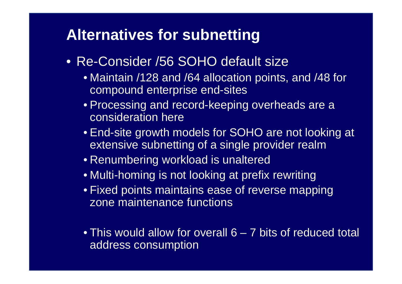### **Alternatives for subnetting**

- Re-Consider /56 SOHO default size
	- Maintain /128 and /64 allocation points, and /48 for compound enterprise end-sites
	- Processing and record-keeping overheads are a consideration here
	- End-site growth models for SOHO are not looking at extensive subnetting of a single provider realm
	- Renumbering workload is unaltered
	- Multi-homing is not looking at prefix rewriting
	- Fixed points maintains ease of reverse mapping zone maintenance functions
	- This would allow for overall 6 7 bits of reduced total address consumption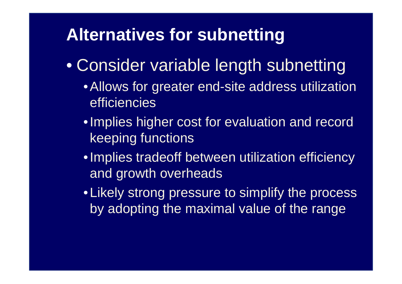### **Alternatives for subnetting**

- Consider variable length subnetting
	- •Allows for greater end-site address utilization efficiencies
	- •Implies higher cost for evaluation and record keeping functions
	- •Implies tradeoff between utilization efficiency and growth overheads
	- Likely strong pressure to simplify the process by adopting the maximal value of the range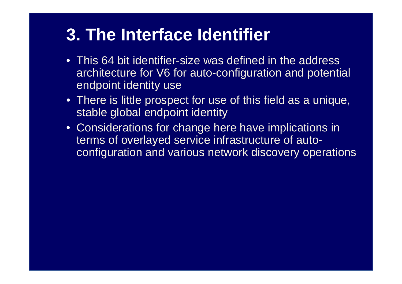### **3. The Interface Identifier**

- This 64 bit identifier-size was defined in the address architecture for V6 for auto-configuration and potential endpoint identity use
- There is little prospect for use of this field as a unique, stable global endpoint identity
- Considerations for change here have implications in terms of overlayed service infrastructure of autoconfiguration and various network discovery operations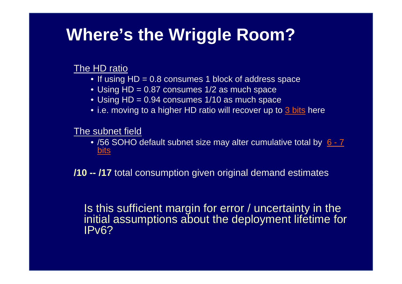### **Where's the Wriggle Room?**

#### The HD ratio

- If using HD = 0.8 consumes 1 block of address space
- Using HD = 0.87 consumes 1/2 as much space
- Using HD = 0.94 consumes 1/10 as much space
- i.e. moving to a higher HD ratio will recover up to <u>3 bits</u> here

The subnet field

• /56 SOHO default subnet size may alter cumulative total by 6 - 7 bits

**/10 -- /17** total consumption given original demand estimates

#### Is this sufficient margin for error / uncertainty in the initial assumptions about the deployment lifetime for IPv6?